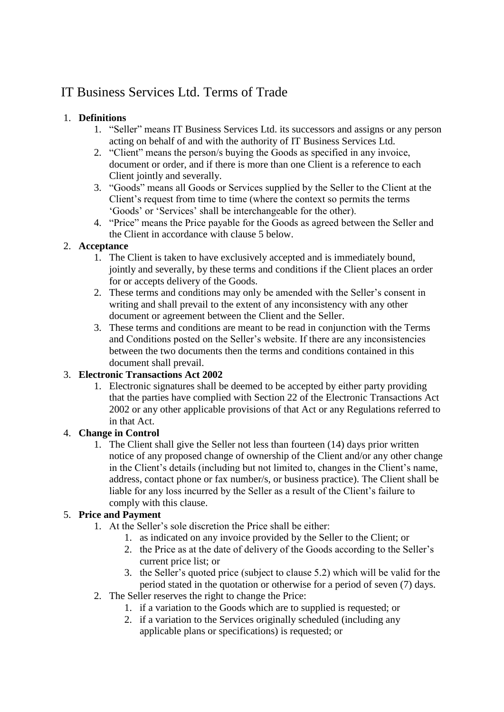# IT Business Services Ltd. Terms of Trade

## 1. **Definitions**

- 1. "Seller" means IT Business Services Ltd. its successors and assigns or any person acting on behalf of and with the authority of IT Business Services Ltd.
- 2. "Client" means the person/s buying the Goods as specified in any invoice, document or order, and if there is more than one Client is a reference to each Client jointly and severally.
- 3. "Goods" means all Goods or Services supplied by the Seller to the Client at the Client's request from time to time (where the context so permits the terms 'Goods' or 'Services' shall be interchangeable for the other).
- 4. "Price" means the Price payable for the Goods as agreed between the Seller and the Client in accordance with clause 5 below.

## 2. **Acceptance**

- 1. The Client is taken to have exclusively accepted and is immediately bound, jointly and severally, by these terms and conditions if the Client places an order for or accepts delivery of the Goods.
- 2. These terms and conditions may only be amended with the Seller's consent in writing and shall prevail to the extent of any inconsistency with any other document or agreement between the Client and the Seller.
- 3. These terms and conditions are meant to be read in conjunction with the Terms and Conditions posted on the Seller's website. If there are any inconsistencies between the two documents then the terms and conditions contained in this document shall prevail.

# 3. **Electronic Transactions Act 2002**

1. Electronic signatures shall be deemed to be accepted by either party providing that the parties have complied with Section 22 of the Electronic Transactions Act 2002 or any other applicable provisions of that Act or any Regulations referred to in that Act.

## 4. **Change in Control**

1. The Client shall give the Seller not less than fourteen (14) days prior written notice of any proposed change of ownership of the Client and/or any other change in the Client's details (including but not limited to, changes in the Client's name, address, contact phone or fax number/s, or business practice). The Client shall be liable for any loss incurred by the Seller as a result of the Client's failure to comply with this clause.

# 5. **Price and Payment**

- 1. At the Seller's sole discretion the Price shall be either:
	- 1. as indicated on any invoice provided by the Seller to the Client; or
	- 2. the Price as at the date of delivery of the Goods according to the Seller's current price list; or
	- 3. the Seller's quoted price (subject to clause 5.2) which will be valid for the period stated in the quotation or otherwise for a period of seven (7) days.
- 2. The Seller reserves the right to change the Price:
	- 1. if a variation to the Goods which are to supplied is requested; or
	- 2. if a variation to the Services originally scheduled (including any applicable plans or specifications) is requested; or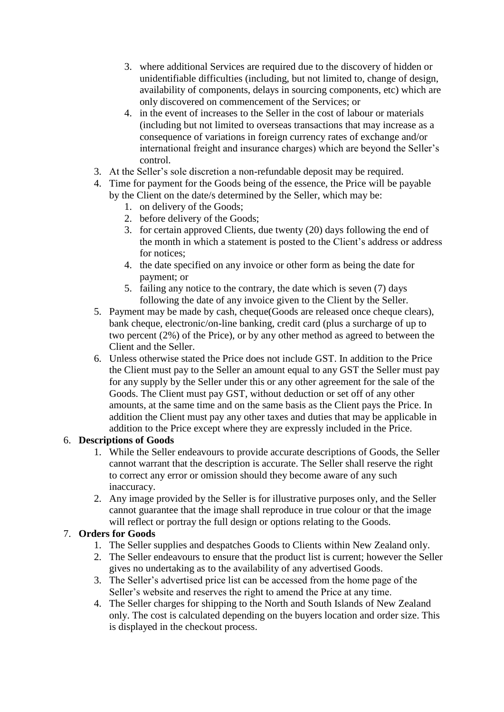- 3. where additional Services are required due to the discovery of hidden or unidentifiable difficulties (including, but not limited to, change of design, availability of components, delays in sourcing components, etc) which are only discovered on commencement of the Services; or
- 4. in the event of increases to the Seller in the cost of labour or materials (including but not limited to overseas transactions that may increase as a consequence of variations in foreign currency rates of exchange and/or international freight and insurance charges) which are beyond the Seller's control.
- 3. At the Seller's sole discretion a non-refundable deposit may be required.
- 4. Time for payment for the Goods being of the essence, the Price will be payable by the Client on the date/s determined by the Seller, which may be:
	- 1. on delivery of the Goods;
	- 2. before delivery of the Goods;
	- 3. for certain approved Clients, due twenty (20) days following the end of the month in which a statement is posted to the Client's address or address for notices;
	- 4. the date specified on any invoice or other form as being the date for payment; or
	- 5. failing any notice to the contrary, the date which is seven (7) days following the date of any invoice given to the Client by the Seller.
- 5. Payment may be made by cash, cheque(Goods are released once cheque clears), bank cheque, electronic/on-line banking, credit card (plus a surcharge of up to two percent (2%) of the Price), or by any other method as agreed to between the Client and the Seller.
- 6. Unless otherwise stated the Price does not include GST. In addition to the Price the Client must pay to the Seller an amount equal to any GST the Seller must pay for any supply by the Seller under this or any other agreement for the sale of the Goods. The Client must pay GST, without deduction or set off of any other amounts, at the same time and on the same basis as the Client pays the Price. In addition the Client must pay any other taxes and duties that may be applicable in addition to the Price except where they are expressly included in the Price.

### 6. **Descriptions of Goods**

- 1. While the Seller endeavours to provide accurate descriptions of Goods, the Seller cannot warrant that the description is accurate. The Seller shall reserve the right to correct any error or omission should they become aware of any such inaccuracy.
- 2. Any image provided by the Seller is for illustrative purposes only, and the Seller cannot guarantee that the image shall reproduce in true colour or that the image will reflect or portray the full design or options relating to the Goods.

## 7. **Orders for Goods**

- 1. The Seller supplies and despatches Goods to Clients within New Zealand only.
- 2. The Seller endeavours to ensure that the product list is current; however the Seller gives no undertaking as to the availability of any advertised Goods.
- 3. The Seller's advertised price list can be accessed from the home page of the Seller's website and reserves the right to amend the Price at any time.
- 4. The Seller charges for shipping to the North and South Islands of New Zealand only. The cost is calculated depending on the buyers location and order size. This is displayed in the checkout process.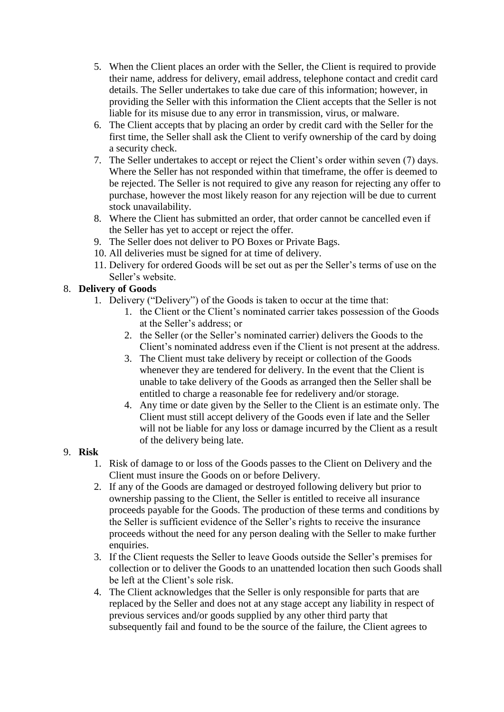- 5. When the Client places an order with the Seller, the Client is required to provide their name, address for delivery, email address, telephone contact and credit card details. The Seller undertakes to take due care of this information; however, in providing the Seller with this information the Client accepts that the Seller is not liable for its misuse due to any error in transmission, virus, or malware.
- 6. The Client accepts that by placing an order by credit card with the Seller for the first time, the Seller shall ask the Client to verify ownership of the card by doing a security check.
- 7. The Seller undertakes to accept or reject the Client's order within seven (7) days. Where the Seller has not responded within that timeframe, the offer is deemed to be rejected. The Seller is not required to give any reason for rejecting any offer to purchase, however the most likely reason for any rejection will be due to current stock unavailability.
- 8. Where the Client has submitted an order, that order cannot be cancelled even if the Seller has yet to accept or reject the offer.
- 9. The Seller does not deliver to PO Boxes or Private Bags.
- 10. All deliveries must be signed for at time of delivery.
- 11. Delivery for ordered Goods will be set out as per the Seller's terms of use on the Seller's website.

## 8. **Delivery of Goods**

- 1. Delivery ("Delivery") of the Goods is taken to occur at the time that:
	- 1. the Client or the Client's nominated carrier takes possession of the Goods at the Seller's address; or
	- 2. the Seller (or the Seller's nominated carrier) delivers the Goods to the Client's nominated address even if the Client is not present at the address.
	- 3. The Client must take delivery by receipt or collection of the Goods whenever they are tendered for delivery. In the event that the Client is unable to take delivery of the Goods as arranged then the Seller shall be entitled to charge a reasonable fee for redelivery and/or storage.
	- 4. Any time or date given by the Seller to the Client is an estimate only. The Client must still accept delivery of the Goods even if late and the Seller will not be liable for any loss or damage incurred by the Client as a result of the delivery being late.

## 9. **Risk**

- 1. Risk of damage to or loss of the Goods passes to the Client on Delivery and the Client must insure the Goods on or before Delivery.
- 2. If any of the Goods are damaged or destroyed following delivery but prior to ownership passing to the Client, the Seller is entitled to receive all insurance proceeds payable for the Goods. The production of these terms and conditions by the Seller is sufficient evidence of the Seller's rights to receive the insurance proceeds without the need for any person dealing with the Seller to make further enquiries.
- 3. If the Client requests the Seller to leave Goods outside the Seller's premises for collection or to deliver the Goods to an unattended location then such Goods shall be left at the Client's sole risk.
- 4. The Client acknowledges that the Seller is only responsible for parts that are replaced by the Seller and does not at any stage accept any liability in respect of previous services and/or goods supplied by any other third party that subsequently fail and found to be the source of the failure, the Client agrees to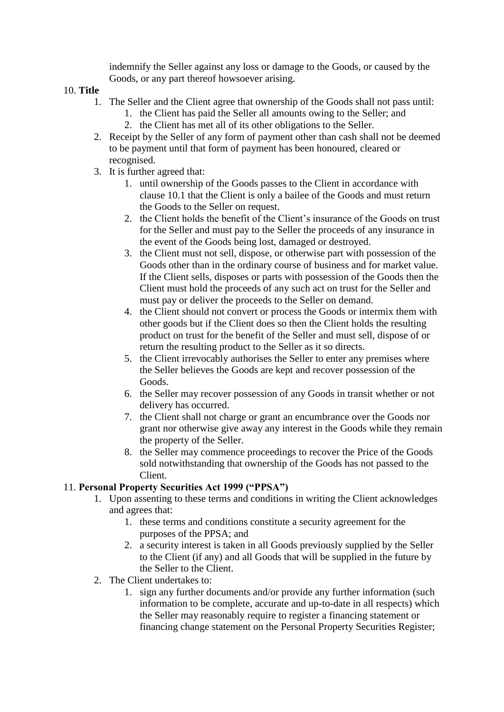indemnify the Seller against any loss or damage to the Goods, or caused by the Goods, or any part thereof howsoever arising.

- 10. **Title**
	- 1. The Seller and the Client agree that ownership of the Goods shall not pass until:
		- 1. the Client has paid the Seller all amounts owing to the Seller; and
		- 2. the Client has met all of its other obligations to the Seller.
	- 2. Receipt by the Seller of any form of payment other than cash shall not be deemed to be payment until that form of payment has been honoured, cleared or recognised.
	- 3. It is further agreed that:
		- 1. until ownership of the Goods passes to the Client in accordance with clause 10.1 that the Client is only a bailee of the Goods and must return the Goods to the Seller on request.
		- 2. the Client holds the benefit of the Client's insurance of the Goods on trust for the Seller and must pay to the Seller the proceeds of any insurance in the event of the Goods being lost, damaged or destroyed.
		- 3. the Client must not sell, dispose, or otherwise part with possession of the Goods other than in the ordinary course of business and for market value. If the Client sells, disposes or parts with possession of the Goods then the Client must hold the proceeds of any such act on trust for the Seller and must pay or deliver the proceeds to the Seller on demand.
		- 4. the Client should not convert or process the Goods or intermix them with other goods but if the Client does so then the Client holds the resulting product on trust for the benefit of the Seller and must sell, dispose of or return the resulting product to the Seller as it so directs.
		- 5. the Client irrevocably authorises the Seller to enter any premises where the Seller believes the Goods are kept and recover possession of the Goods.
		- 6. the Seller may recover possession of any Goods in transit whether or not delivery has occurred.
		- 7. the Client shall not charge or grant an encumbrance over the Goods nor grant nor otherwise give away any interest in the Goods while they remain the property of the Seller.
		- 8. the Seller may commence proceedings to recover the Price of the Goods sold notwithstanding that ownership of the Goods has not passed to the Client.

#### 11. **Personal Property Securities Act 1999 ("PPSA")**

- 1. Upon assenting to these terms and conditions in writing the Client acknowledges and agrees that:
	- 1. these terms and conditions constitute a security agreement for the purposes of the PPSA; and
	- 2. a security interest is taken in all Goods previously supplied by the Seller to the Client (if any) and all Goods that will be supplied in the future by the Seller to the Client.
- 2. The Client undertakes to:
	- 1. sign any further documents and/or provide any further information (such information to be complete, accurate and up-to-date in all respects) which the Seller may reasonably require to register a financing statement or financing change statement on the Personal Property Securities Register;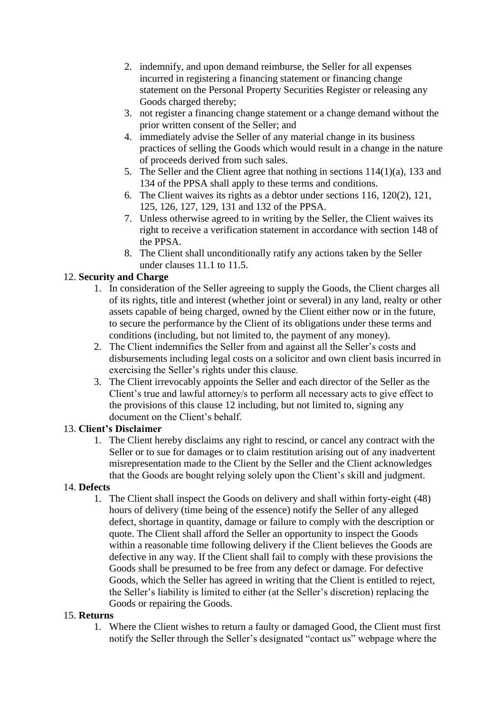- 2. indemnify, and upon demand reimburse, the Seller for all expenses incurred in registering a financing statement or financing change statement on the Personal Property Securities Register or releasing any Goods charged thereby;
- 3. not register a financing change statement or a change demand without the prior written consent of the Seller; and
- 4. immediately advise the Seller of any material change in its business practices of selling the Goods which would result in a change in the nature of proceeds derived from such sales.
- 5. The Seller and the Client agree that nothing in sections 114(1)(a), 133 and 134 of the PPSA shall apply to these terms and conditions.
- 6. The Client waives its rights as a debtor under sections 116, 120(2), 121, 125, 126, 127, 129, 131 and 132 of the PPSA.
- 7. Unless otherwise agreed to in writing by the Seller, the Client waives its right to receive a verification statement in accordance with section 148 of the PPSA.
- 8. The Client shall unconditionally ratify any actions taken by the Seller under clauses 11.1 to 11.5.

### 12. **Security and Charge**

- 1. In consideration of the Seller agreeing to supply the Goods, the Client charges all of its rights, title and interest (whether joint or several) in any land, realty or other assets capable of being charged, owned by the Client either now or in the future, to secure the performance by the Client of its obligations under these terms and conditions (including, but not limited to, the payment of any money).
- 2. The Client indemnifies the Seller from and against all the Seller's costs and disbursements including legal costs on a solicitor and own client basis incurred in exercising the Seller's rights under this clause.
- 3. The Client irrevocably appoints the Seller and each director of the Seller as the Client's true and lawful attorney/s to perform all necessary acts to give effect to the provisions of this clause 12 including, but not limited to, signing any document on the Client's behalf.

#### 13. **Client's Disclaimer**

1. The Client hereby disclaims any right to rescind, or cancel any contract with the Seller or to sue for damages or to claim restitution arising out of any inadvertent misrepresentation made to the Client by the Seller and the Client acknowledges that the Goods are bought relying solely upon the Client's skill and judgment.

#### 14. **Defects**

1. The Client shall inspect the Goods on delivery and shall within forty-eight (48) hours of delivery (time being of the essence) notify the Seller of any alleged defect, shortage in quantity, damage or failure to comply with the description or quote. The Client shall afford the Seller an opportunity to inspect the Goods within a reasonable time following delivery if the Client believes the Goods are defective in any way. If the Client shall fail to comply with these provisions the Goods shall be presumed to be free from any defect or damage. For defective Goods, which the Seller has agreed in writing that the Client is entitled to reject, the Seller's liability is limited to either (at the Seller's discretion) replacing the Goods or repairing the Goods.

#### 15. **Returns**

1. Where the Client wishes to return a faulty or damaged Good, the Client must first notify the Seller through the Seller's designated "contact us" webpage where the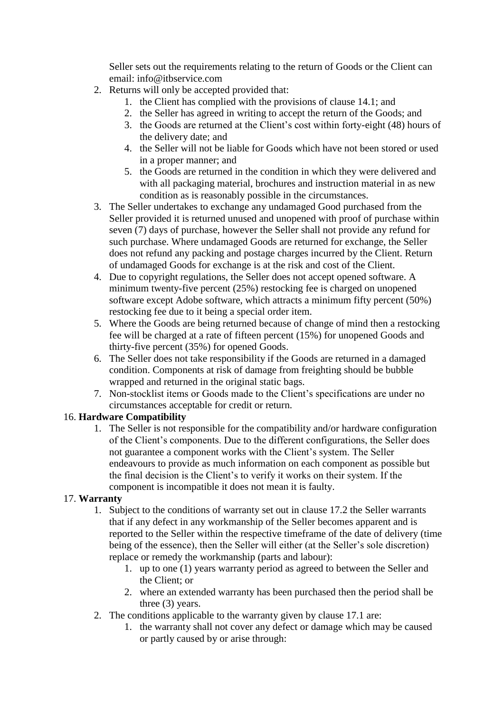Seller sets out the requirements relating to the return of Goods or the Client can email: info@itbservice.com

- 2. Returns will only be accepted provided that:
	- 1. the Client has complied with the provisions of clause 14.1; and
	- 2. the Seller has agreed in writing to accept the return of the Goods; and
	- 3. the Goods are returned at the Client's cost within forty-eight (48) hours of the delivery date; and
	- 4. the Seller will not be liable for Goods which have not been stored or used in a proper manner; and
	- 5. the Goods are returned in the condition in which they were delivered and with all packaging material, brochures and instruction material in as new condition as is reasonably possible in the circumstances.
- 3. The Seller undertakes to exchange any undamaged Good purchased from the Seller provided it is returned unused and unopened with proof of purchase within seven (7) days of purchase, however the Seller shall not provide any refund for such purchase. Where undamaged Goods are returned for exchange, the Seller does not refund any packing and postage charges incurred by the Client. Return of undamaged Goods for exchange is at the risk and cost of the Client.
- 4. Due to copyright regulations, the Seller does not accept opened software. A minimum twenty-five percent (25%) restocking fee is charged on unopened software except Adobe software, which attracts a minimum fifty percent (50%) restocking fee due to it being a special order item.
- 5. Where the Goods are being returned because of change of mind then a restocking fee will be charged at a rate of fifteen percent (15%) for unopened Goods and thirty-five percent (35%) for opened Goods.
- 6. The Seller does not take responsibility if the Goods are returned in a damaged condition. Components at risk of damage from freighting should be bubble wrapped and returned in the original static bags.
- 7. Non-stocklist items or Goods made to the Client's specifications are under no circumstances acceptable for credit or return.

## 16. **Hardware Compatibility**

1. The Seller is not responsible for the compatibility and/or hardware configuration of the Client's components. Due to the different configurations, the Seller does not guarantee a component works with the Client's system. The Seller endeavours to provide as much information on each component as possible but the final decision is the Client's to verify it works on their system. If the component is incompatible it does not mean it is faulty.

#### 17. **Warranty**

- 1. Subject to the conditions of warranty set out in clause 17.2 the Seller warrants that if any defect in any workmanship of the Seller becomes apparent and is reported to the Seller within the respective timeframe of the date of delivery (time being of the essence), then the Seller will either (at the Seller's sole discretion) replace or remedy the workmanship (parts and labour):
	- 1. up to one (1) years warranty period as agreed to between the Seller and the Client; or
	- 2. where an extended warranty has been purchased then the period shall be three (3) years.
- 2. The conditions applicable to the warranty given by clause 17.1 are:
	- 1. the warranty shall not cover any defect or damage which may be caused or partly caused by or arise through: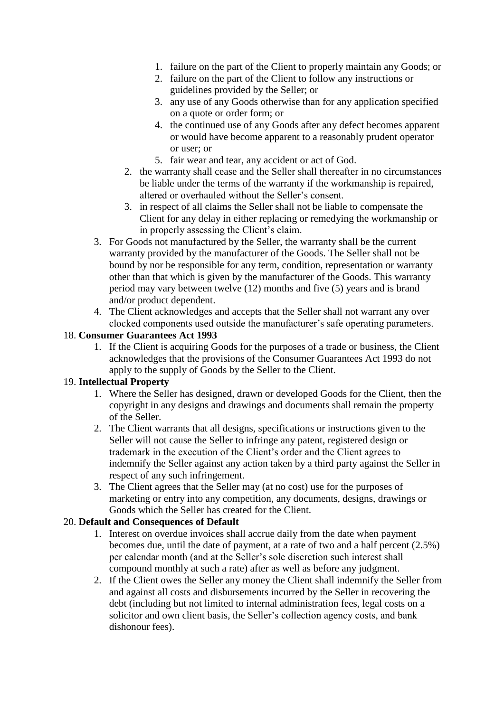- 1. failure on the part of the Client to properly maintain any Goods; or
- 2. failure on the part of the Client to follow any instructions or guidelines provided by the Seller; or
- 3. any use of any Goods otherwise than for any application specified on a quote or order form; or
- 4. the continued use of any Goods after any defect becomes apparent or would have become apparent to a reasonably prudent operator or user; or
- 5. fair wear and tear, any accident or act of God.
- 2. the warranty shall cease and the Seller shall thereafter in no circumstances be liable under the terms of the warranty if the workmanship is repaired, altered or overhauled without the Seller's consent.
- 3. in respect of all claims the Seller shall not be liable to compensate the Client for any delay in either replacing or remedying the workmanship or in properly assessing the Client's claim.
- 3. For Goods not manufactured by the Seller, the warranty shall be the current warranty provided by the manufacturer of the Goods. The Seller shall not be bound by nor be responsible for any term, condition, representation or warranty other than that which is given by the manufacturer of the Goods. This warranty period may vary between twelve (12) months and five (5) years and is brand and/or product dependent.
- 4. The Client acknowledges and accepts that the Seller shall not warrant any over clocked components used outside the manufacturer's safe operating parameters.

#### 18. **Consumer Guarantees Act 1993**

1. If the Client is acquiring Goods for the purposes of a trade or business, the Client acknowledges that the provisions of the Consumer Guarantees Act 1993 do not apply to the supply of Goods by the Seller to the Client.

#### 19. **Intellectual Property**

- 1. Where the Seller has designed, drawn or developed Goods for the Client, then the copyright in any designs and drawings and documents shall remain the property of the Seller.
- 2. The Client warrants that all designs, specifications or instructions given to the Seller will not cause the Seller to infringe any patent, registered design or trademark in the execution of the Client's order and the Client agrees to indemnify the Seller against any action taken by a third party against the Seller in respect of any such infringement.
- 3. The Client agrees that the Seller may (at no cost) use for the purposes of marketing or entry into any competition, any documents, designs, drawings or Goods which the Seller has created for the Client.

#### 20. **Default and Consequences of Default**

- 1. Interest on overdue invoices shall accrue daily from the date when payment becomes due, until the date of payment, at a rate of two and a half percent (2.5%) per calendar month (and at the Seller's sole discretion such interest shall compound monthly at such a rate) after as well as before any judgment.
- 2. If the Client owes the Seller any money the Client shall indemnify the Seller from and against all costs and disbursements incurred by the Seller in recovering the debt (including but not limited to internal administration fees, legal costs on a solicitor and own client basis, the Seller's collection agency costs, and bank dishonour fees).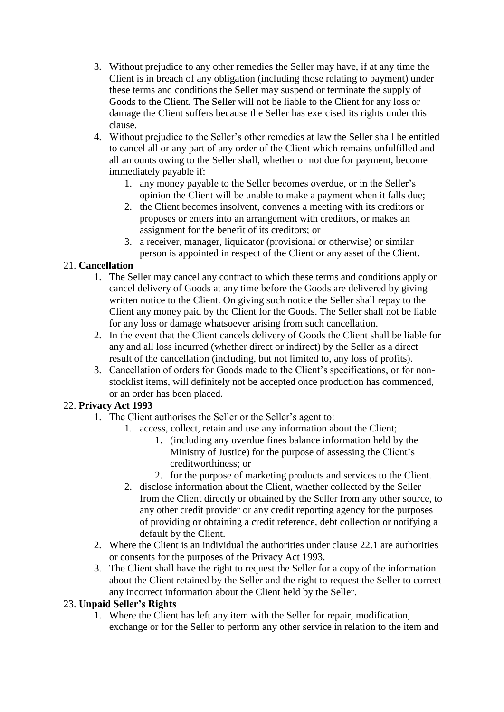- 3. Without prejudice to any other remedies the Seller may have, if at any time the Client is in breach of any obligation (including those relating to payment) under these terms and conditions the Seller may suspend or terminate the supply of Goods to the Client. The Seller will not be liable to the Client for any loss or damage the Client suffers because the Seller has exercised its rights under this clause.
- 4. Without prejudice to the Seller's other remedies at law the Seller shall be entitled to cancel all or any part of any order of the Client which remains unfulfilled and all amounts owing to the Seller shall, whether or not due for payment, become immediately payable if:
	- 1. any money payable to the Seller becomes overdue, or in the Seller's opinion the Client will be unable to make a payment when it falls due;
	- 2. the Client becomes insolvent, convenes a meeting with its creditors or proposes or enters into an arrangement with creditors, or makes an assignment for the benefit of its creditors; or
	- 3. a receiver, manager, liquidator (provisional or otherwise) or similar person is appointed in respect of the Client or any asset of the Client.

## 21. **Cancellation**

- 1. The Seller may cancel any contract to which these terms and conditions apply or cancel delivery of Goods at any time before the Goods are delivered by giving written notice to the Client. On giving such notice the Seller shall repay to the Client any money paid by the Client for the Goods. The Seller shall not be liable for any loss or damage whatsoever arising from such cancellation.
- 2. In the event that the Client cancels delivery of Goods the Client shall be liable for any and all loss incurred (whether direct or indirect) by the Seller as a direct result of the cancellation (including, but not limited to, any loss of profits).
- 3. Cancellation of orders for Goods made to the Client's specifications, or for nonstocklist items, will definitely not be accepted once production has commenced, or an order has been placed.

## 22. **Privacy Act 1993**

- 1. The Client authorises the Seller or the Seller's agent to:
	- 1. access, collect, retain and use any information about the Client;
		- 1. (including any overdue fines balance information held by the Ministry of Justice) for the purpose of assessing the Client's creditworthiness; or
		- 2. for the purpose of marketing products and services to the Client.
	- 2. disclose information about the Client, whether collected by the Seller from the Client directly or obtained by the Seller from any other source, to any other credit provider or any credit reporting agency for the purposes of providing or obtaining a credit reference, debt collection or notifying a default by the Client.
- 2. Where the Client is an individual the authorities under clause 22.1 are authorities or consents for the purposes of the Privacy Act 1993.
- 3. The Client shall have the right to request the Seller for a copy of the information about the Client retained by the Seller and the right to request the Seller to correct any incorrect information about the Client held by the Seller.

#### 23. **Unpaid Seller's Rights**

1. Where the Client has left any item with the Seller for repair, modification, exchange or for the Seller to perform any other service in relation to the item and